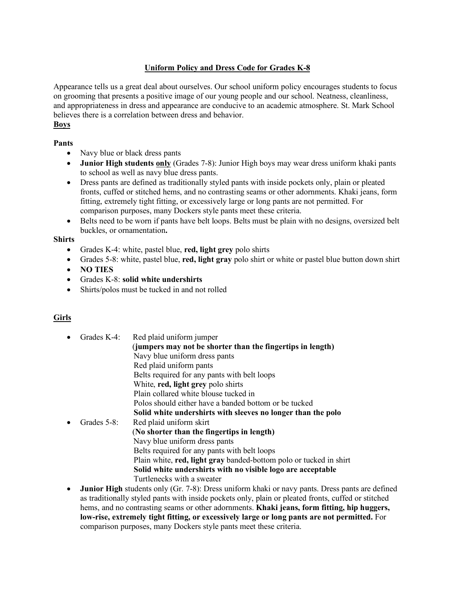## **Uniform Policy and Dress Code for Grades K-8**

Appearance tells us a great deal about ourselves. Our school uniform policy encourages students to focus on grooming that presents a positive image of our young people and our school. Neatness, cleanliness, and appropriateness in dress and appearance are conducive to an academic atmosphere. St. Mark School believes there is a correlation between dress and behavior. **Boys**

# **Pants**

- Navy blue or black dress pants
- **Junior High students only** (Grades 7-8): Junior High boys may wear dress uniform khaki pants to school as well as navy blue dress pants.
- Dress pants are defined as traditionally styled pants with inside pockets only, plain or pleated fronts, cuffed or stitched hems, and no contrasting seams or other adornments. Khaki jeans, form fitting, extremely tight fitting, or excessively large or long pants are not permitted. For comparison purposes, many Dockers style pants meet these criteria.
- Belts need to be worn if pants have belt loops. Belts must be plain with no designs, oversized belt buckles, or ornamentation**.**

#### **Shirts**

- Grades K-4: white, pastel blue, **red, light grey** polo shirts
- Grades 5-8: white, pastel blue, **red, light gray** polo shirt or white or pastel blue button down shirt
- **NO TIES**
- Grades K-8: **solid white undershirts**
- Shirts/polos must be tucked in and not rolled

## **Girls**

- Grades K-4: Red plaid uniform jumper (**jumpers may not be shorter than the fingertips in length)** Navy blue uniform dress pants Red plaid uniform pants Belts required for any pants with belt loops White, **red, light grey** polo shirts Plain collared white blouse tucked in Polos should either have a banded bottom or be tucked **Solid white undershirts with sleeves no longer than the polo** Grades 5-8: Red plaid uniform skirt (**No shorter than the fingertips in length)** Navy blue uniform dress pants Belts required for any pants with belt loops Plain white, **red, light gray** banded-bottom polo or tucked in shirt **Solid white undershirts with no visible logo are acceptable**  Turtlenecks with a sweater
- **Junior High** students only (Gr. 7-8): Dress uniform khaki or navy pants. Dress pants are defined as traditionally styled pants with inside pockets only, plain or pleated fronts, cuffed or stitched hems, and no contrasting seams or other adornments. **Khaki jeans, form fitting, hip huggers, low-rise, extremely tight fitting, or excessively large or long pants are not permitted.** For comparison purposes, many Dockers style pants meet these criteria.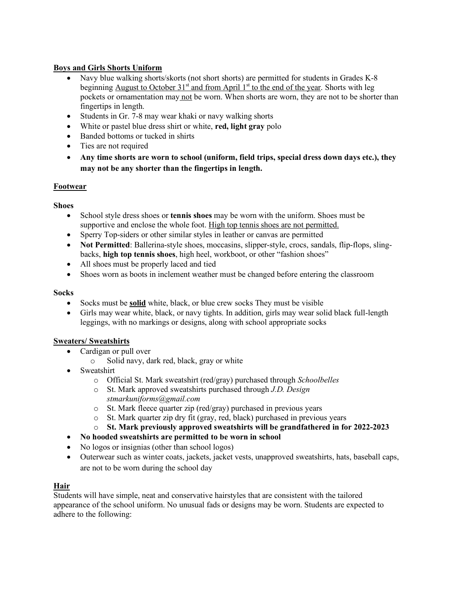## **Boys and Girls Shorts Uniform**

- Navy blue walking shorts/skorts (not short shorts) are permitted for students in Grades K-8 beginning August to October  $31<sup>st</sup>$  and from April  $1<sup>st</sup>$  to the end of the year. Shorts with leg pockets or ornamentation may not be worn. When shorts are worn, they are not to be shorter than fingertips in length.
- Students in Gr. 7-8 may wear khaki or navy walking shorts
- White or pastel blue dress shirt or white, **red, light gray** polo
- Banded bottoms or tucked in shirts
- Ties are not required
- **Any time shorts are worn to school (uniform, field trips, special dress down days etc.), they may not be any shorter than the fingertips in length.**

#### **Footwear**

#### **Shoes**

- School style dress shoes or **tennis shoes** may be worn with the uniform. Shoes must be supportive and enclose the whole foot. High top tennis shoes are not permitted.
- Sperry Top-siders or other similar styles in leather or canvas are permitted
- **Not Permitted**: Ballerina-style shoes, moccasins, slipper-style, crocs, sandals, flip-flops, slingbacks, **high top tennis shoes**, high heel, workboot, or other "fashion shoes"
- All shoes must be properly laced and tied
- Shoes worn as boots in inclement weather must be changed before entering the classroom

#### **Socks**

- Socks must be **solid** white, black, or blue crew socks They must be visible
- Girls may wear white, black, or navy tights. In addition, girls may wear solid black full-length leggings, with no markings or designs, along with school appropriate socks

#### **Sweaters/ Sweatshirts**

- Cardigan or pull over
	- o Solid navy, dark red, black, gray or white
- Sweatshirt
	- o Official St. Mark sweatshirt (red/gray) purchased through *Schoolbelles*
	- o St. Mark approved sweatshirts purchased through *J.D. Design stmarkuniforms@gmail.com*
	- o St. Mark fleece quarter zip (red/gray) purchased in previous years
	- o St. Mark quarter zip dry fit (gray, red, black) purchased in previous years
	- o **St. Mark previously approved sweatshirts will be grandfathered in for 2022-2023**
- **No hooded sweatshirts are permitted to be worn in school**
- No logos or insignias (other than school logos)
- Outerwear such as winter coats, jackets, jacket vests, unapproved sweatshirts, hats, baseball caps, are not to be worn during the school day

#### **Hair**

Students will have simple, neat and conservative hairstyles that are consistent with the tailored appearance of the school uniform. No unusual fads or designs may be worn. Students are expected to adhere to the following: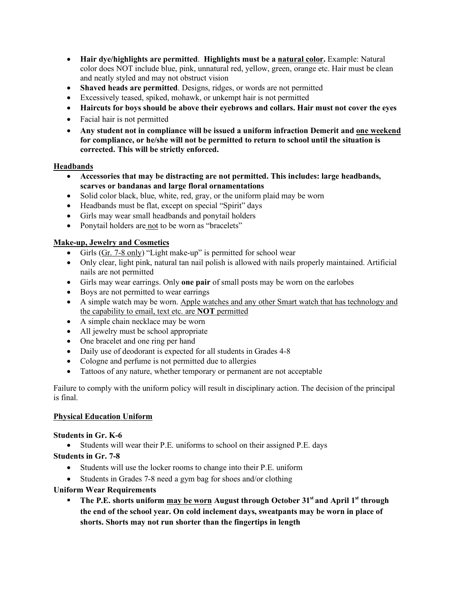- **Hair dye/highlights are permitted**. **Highlights must be a natural color.** Example: Natural color does NOT include blue, pink, unnatural red, yellow, green, orange etc. Hair must be clean and neatly styled and may not obstruct vision
- **Shaved heads are permitted**. Designs, ridges, or words are not permitted
- Excessively teased, spiked, mohawk, or unkempt hair is not permitted
- **Haircuts for boys should be above their eyebrows and collars. Hair must not cover the eyes**
- Facial hair is not permitted
- **Any student not in compliance will be issued a uniform infraction Demerit and one weekend for compliance, or he/she will not be permitted to return to school until the situation is corrected. This will be strictly enforced.**

#### **Headbands**

- **Accessories that may be distracting are not permitted. This includes: large headbands, scarves or bandanas and large floral ornamentations**
- Solid color black, blue, white, red, gray, or the uniform plaid may be worn
- Headbands must be flat, except on special "Spirit" days
- Girls may wear small headbands and ponytail holders
- Ponytail holders are not to be worn as "bracelets"

## **Make-up, Jewelry and Cosmetics**

- Girls (Gr. 7-8 only) "Light make-up" is permitted for school wear
- Only clear, light pink, natural tan nail polish is allowed with nails properly maintained. Artificial nails are not permitted
- Girls may wear earrings. Only **one pair** of small posts may be worn on the earlobes
- Boys are not permitted to wear earrings
- A simple watch may be worn. Apple watches and any other Smart watch that has technology and the capability to email, text etc. are **NOT** permitted
- A simple chain necklace may be worn
- All jewelry must be school appropriate
- One bracelet and one ring per hand
- Daily use of deodorant is expected for all students in Grades 4-8
- Cologne and perfume is not permitted due to allergies
- Tattoos of any nature, whether temporary or permanent are not acceptable

Failure to comply with the uniform policy will result in disciplinary action. The decision of the principal is final.

#### **Physical Education Uniform**

#### **Students in Gr. K-6**

• Students will wear their P.E. uniforms to school on their assigned P.E. days

#### **Students in Gr. 7-8**

- Students will use the locker rooms to change into their P.E. uniform
- Students in Grades 7-8 need a gym bag for shoes and/or clothing

#### **Uniform Wear Requirements**

**E** The P.E. shorts uniform may be worn August through October 31<sup>st</sup> and April 1<sup>st</sup> through **the end of the school year. On cold inclement days, sweatpants may be worn in place of shorts. Shorts may not run shorter than the fingertips in length**